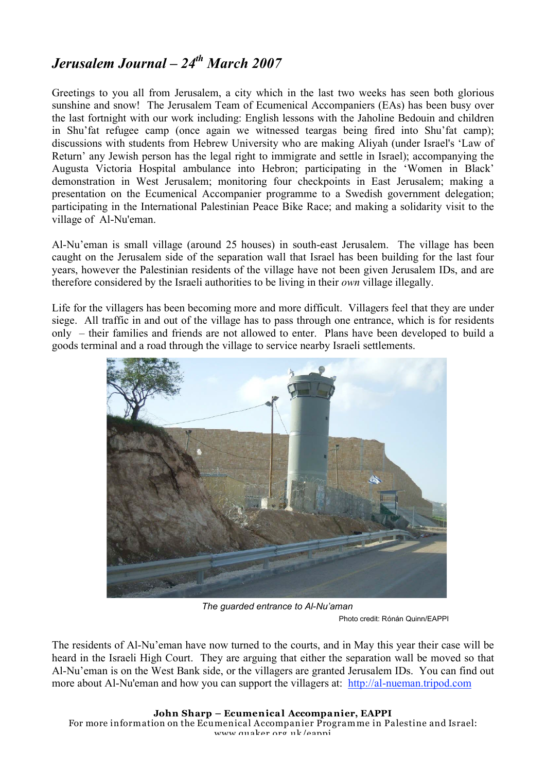## *Jerusalem Journal – 24th March 2007*

Greetings to you all from Jerusalem, a city which in the last two weeks has seen both glorious sunshine and snow! The Jerusalem Team of Ecumenical Accompaniers (EAs) has been busy over the last fortnight with our work including: English lessons with the Jaholine Bedouin and children in Shu'fat refugee camp (once again we witnessed teargas being fired into Shu'fat camp); discussions with students from Hebrew University who are making Aliyah (under Israel's 'Law of Return' any Jewish person has the legal right to immigrate and settle in Israel); accompanying the Augusta Victoria Hospital ambulance into Hebron; participating in the 'Women in Black' demonstration in West Jerusalem; monitoring four checkpoints in East Jerusalem; making a presentation on the Ecumenical Accompanier programme to a Swedish government delegation; participating in the International Palestinian Peace Bike Race; and making a solidarity visit to the village of Al-Nu'eman.

Al-Nu'eman is small village (around 25 houses) in south-east Jerusalem. The village has been caught on the Jerusalem side of the separation wall that Israel has been building for the last four years, however the Palestinian residents of the village have not been given Jerusalem IDs, and are therefore considered by the Israeli authorities to be living in their *own* village illegally.

Life for the villagers has been becoming more and more difficult. Villagers feel that they are under siege. All traffic in and out of the village has to pass through one entrance, which is for residents only – their families and friends are not allowed to enter. Plans have been developed to build a goods terminal and a road through the village to service nearby Israeli settlements.



*The guarded entrance to Al-Nu'aman* Photo credit: Rónán Quinn/EAPPI

The residents of Al-Nu'eman have now turned to the courts, and in May this year their case will be heard in the Israeli High Court. They are arguing that either the separation wall be moved so that Al-Nu'eman is on the West Bank side, or the villagers are granted Jerusalem IDs. You can find out more about Al-Nu'eman and how you can support the villagers at: http://al-nueman.tripod.com

**John Sharp – Ecumenical Accompanier, EAPPI**

For more information on the Ecumenical Accompanier Programme in Palestine and Israel: www.quaker.org.uk/eappi